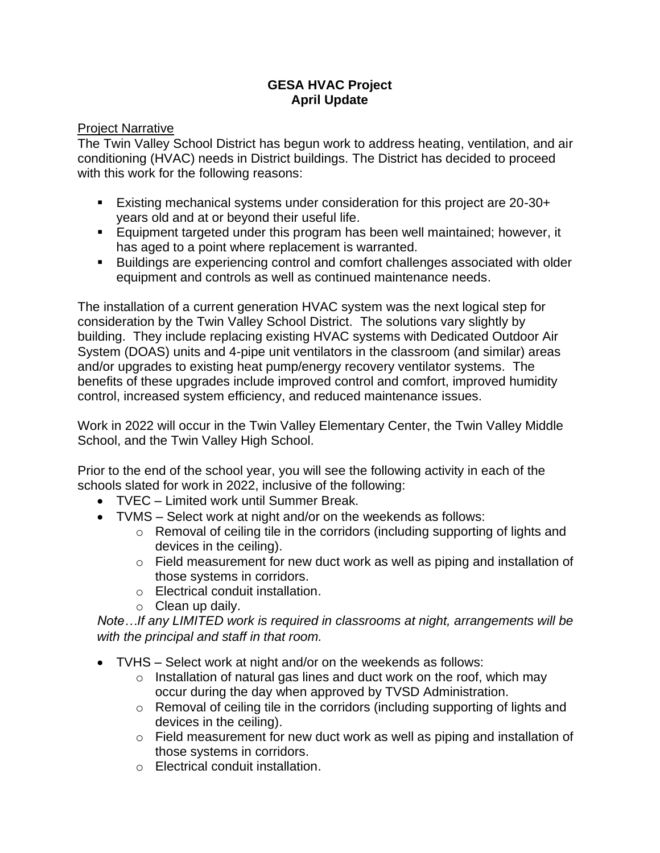## **GESA HVAC Project April Update**

## Project Narrative

The Twin Valley School District has begun work to address heating, ventilation, and air conditioning (HVAC) needs in District buildings. The District has decided to proceed with this work for the following reasons:

- Existing mechanical systems under consideration for this project are 20-30+ years old and at or beyond their useful life.
- Equipment targeted under this program has been well maintained; however, it has aged to a point where replacement is warranted.
- Buildings are experiencing control and comfort challenges associated with older equipment and controls as well as continued maintenance needs.

The installation of a current generation HVAC system was the next logical step for consideration by the Twin Valley School District. The solutions vary slightly by building. They include replacing existing HVAC systems with Dedicated Outdoor Air System (DOAS) units and 4-pipe unit ventilators in the classroom (and similar) areas and/or upgrades to existing heat pump/energy recovery ventilator systems. The benefits of these upgrades include improved control and comfort, improved humidity control, increased system efficiency, and reduced maintenance issues.

Work in 2022 will occur in the Twin Valley Elementary Center, the Twin Valley Middle School, and the Twin Valley High School.

Prior to the end of the school year, you will see the following activity in each of the schools slated for work in 2022, inclusive of the following:

- TVEC Limited work until Summer Break.
- TVMS Select work at night and/or on the weekends as follows:
	- o Removal of ceiling tile in the corridors (including supporting of lights and devices in the ceiling).
	- o Field measurement for new duct work as well as piping and installation of those systems in corridors.
	- o Electrical conduit installation.
	- $\circ$  Clean up daily.

*Note…If any LIMITED work is required in classrooms at night, arrangements will be with the principal and staff in that room.*

- TVHS Select work at night and/or on the weekends as follows:
	- $\circ$  Installation of natural gas lines and duct work on the roof, which may occur during the day when approved by TVSD Administration.
	- o Removal of ceiling tile in the corridors (including supporting of lights and devices in the ceiling).
	- o Field measurement for new duct work as well as piping and installation of those systems in corridors.
	- o Electrical conduit installation.